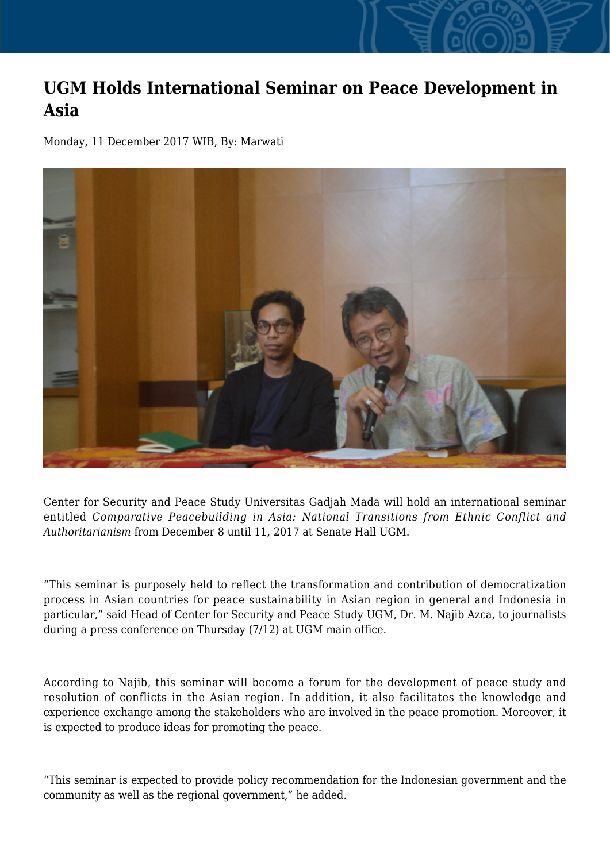## **UGM Holds International Seminar on Peace Development in Asia**

Monday, 11 December 2017 WIB, By: Marwati



Center for Security and Peace Study Universitas Gadjah Mada will hold an international seminar entitled *Comparative Peacebuilding in Asia: National Transitions from Ethnic Conflict and Authoritarianism* from December 8 until 11, 2017 at Senate Hall UGM.

"This seminar is purposely held to reflect the transformation and contribution of democratization process in Asian countries for peace sustainability in Asian region in general and Indonesia in particular," said Head of Center for Security and Peace Study UGM, Dr. M. Najib Azca, to journalists during a press conference on Thursday (7/12) at UGM main office.

According to Najib, this seminar will become a forum for the development of peace study and resolution of conflicts in the Asian region. In addition, it also facilitates the knowledge and experience exchange among the stakeholders who are involved in the peace promotion. Moreover, it is expected to produce ideas for promoting the peace.

"This seminar is expected to provide policy recommendation for the Indonesian government and the community as well as the regional government," he added.